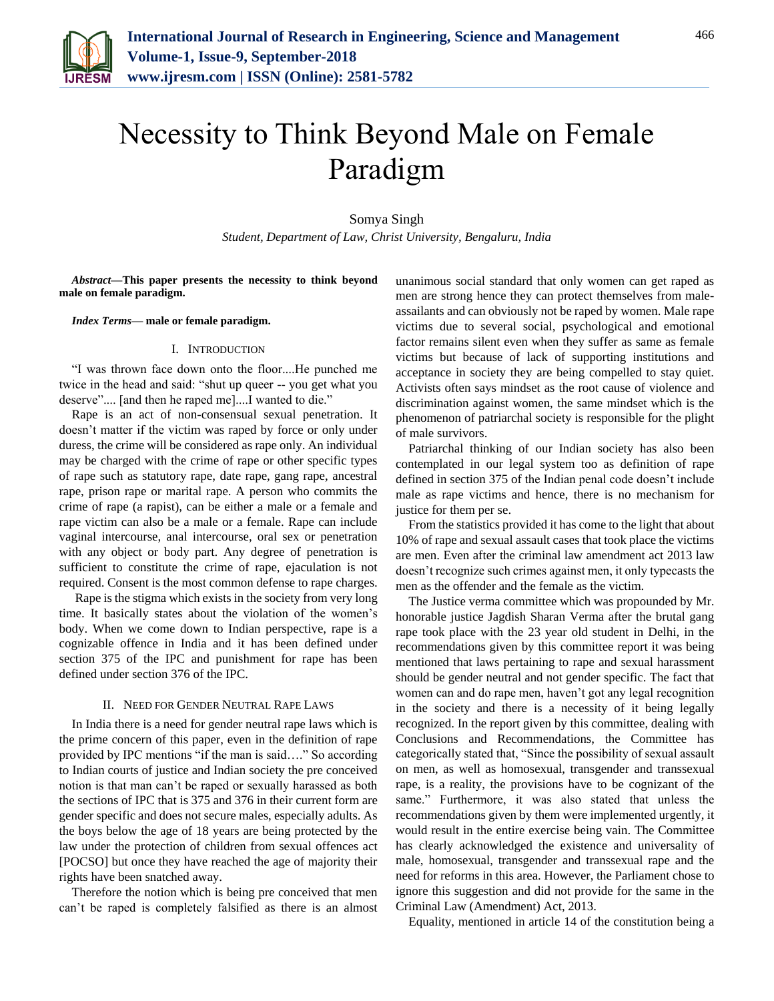

# Necessity to Think Beyond Male on Female Paradigm

Somya Singh

*Student, Department of Law, Christ University, Bengaluru, India*

*Abstract***—This paper presents the necessity to think beyond male on female paradigm.** 

*Index Terms***— male or female paradigm.**

#### I. INTRODUCTION

"I was thrown face down onto the floor....He punched me twice in the head and said: "shut up queer -- you get what you deserve".... [and then he raped me]....I wanted to die."

Rape is an act of non-consensual sexual penetration. It doesn't matter if the victim was raped by force or only under duress, the crime will be considered as rape only. An individual may be charged with the crime of rape or other specific types of rape such as statutory rape, date rape, gang rape, ancestral rape, prison rape or marital rape. A person who commits the crime of rape (a rapist), can be either a male or a female and rape victim can also be a male or a female. Rape can include vaginal intercourse, anal intercourse, oral sex or penetration with any object or body part. Any degree of penetration is sufficient to constitute the crime of rape, ejaculation is not required. Consent is the most common defense to rape charges.

Rape is the stigma which exists in the society from very long time. It basically states about the violation of the women's body. When we come down to Indian perspective, rape is a cognizable offence in India and it has been defined under section 375 of the IPC and punishment for rape has been defined under section 376 of the IPC.

## II. NEED FOR GENDER NEUTRAL RAPE LAWS

In India there is a need for gender neutral rape laws which is the prime concern of this paper, even in the definition of rape provided by IPC mentions "if the man is said…." So according to Indian courts of justice and Indian society the pre conceived notion is that man can't be raped or sexually harassed as both the sections of IPC that is 375 and 376 in their current form are gender specific and does not secure males, especially adults. As the boys below the age of 18 years are being protected by the law under the protection of children from sexual offences act [POCSO] but once they have reached the age of majority their rights have been snatched away.

Therefore the notion which is being pre conceived that men can't be raped is completely falsified as there is an almost unanimous social standard that only women can get raped as men are strong hence they can protect themselves from maleassailants and can obviously not be raped by women. Male rape victims due to several social, psychological and emotional factor remains silent even when they suffer as same as female victims but because of lack of supporting institutions and acceptance in society they are being compelled to stay quiet. Activists often says mindset as the root cause of violence and discrimination against women, the same mindset which is the phenomenon of patriarchal society is responsible for the plight of male survivors.

Patriarchal thinking of our Indian society has also been contemplated in our legal system too as definition of rape defined in section 375 of the Indian penal code doesn't include male as rape victims and hence, there is no mechanism for justice for them per se.

From the statistics provided it has come to the light that about 10% of rape and sexual assault cases that took place the victims are men. Even after the criminal law amendment act 2013 law doesn't recognize such crimes against men, it only typecasts the men as the offender and the female as the victim.

The Justice verma committee which was propounded by Mr. honorable justice Jagdish Sharan Verma after the brutal gang rape took place with the 23 year old student in Delhi, in the recommendations given by this committee report it was being mentioned that laws pertaining to rape and sexual harassment should be gender neutral and not gender specific. The fact that women can and do rape men, haven't got any legal recognition in the society and there is a necessity of it being legally recognized. In the report given by this committee, dealing with Conclusions and Recommendations, the Committee has categorically stated that, "Since the possibility of sexual assault on men, as well as homosexual, transgender and transsexual rape, is a reality, the provisions have to be cognizant of the same." Furthermore, it was also stated that unless the recommendations given by them were implemented urgently, it would result in the entire exercise being vain. The Committee has clearly acknowledged the existence and universality of male, homosexual, transgender and transsexual rape and the need for reforms in this area. However, the Parliament chose to ignore this suggestion and did not provide for the same in the Criminal Law (Amendment) Act, 2013.

Equality, mentioned in article 14 of the constitution being a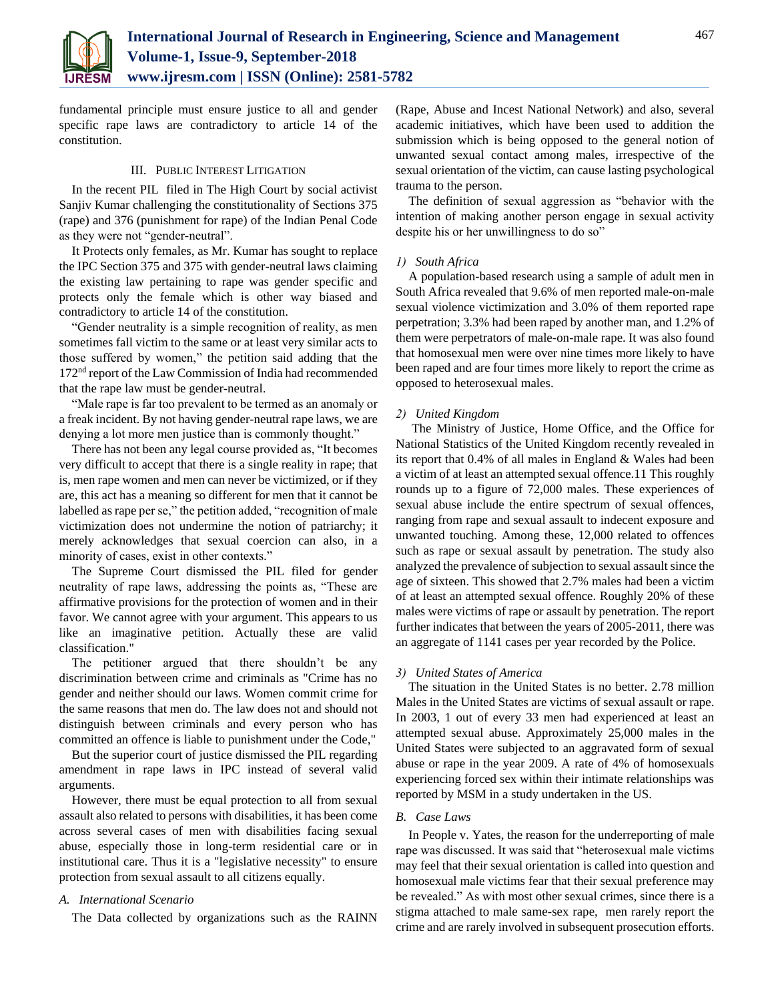

fundamental principle must ensure justice to all and gender specific rape laws are contradictory to article 14 of the constitution.

## III. PUBLIC INTEREST LITIGATION

In the recent PIL filed in The High Court by social activist Sanjiv Kumar challenging the constitutionality of Sections 375 (rape) and 376 (punishment for rape) of the Indian Penal Code as they were not "gender-neutral".

It Protects only females, as Mr. Kumar has sought to replace the IPC Section 375 and 375 with gender-neutral laws claiming the existing law pertaining to rape was gender specific and protects only the female which is other way biased and contradictory to article 14 of the constitution.

"Gender neutrality is a simple recognition of reality, as men sometimes fall victim to the same or at least very similar acts to those suffered by women," the petition said adding that the 172nd report of the Law Commission of India had recommended that the rape law must be gender-neutral.

"Male rape is far too prevalent to be termed as an anomaly or a freak incident. By not having gender-neutral rape laws, we are denying a lot more men justice than is commonly thought."

There has not been any legal course provided as, "It becomes very difficult to accept that there is a single reality in rape; that is, men rape women and men can never be victimized, or if they are, this act has a meaning so different for men that it cannot be labelled as rape per se," the petition added, "recognition of male victimization does not undermine the notion of patriarchy; it merely acknowledges that sexual coercion can also, in a minority of cases, exist in other contexts."

The Supreme Court dismissed the PIL filed for gender neutrality of rape laws, addressing the points as, "These are affirmative provisions for the protection of women and in their favor. We cannot agree with your argument. This appears to us like an imaginative petition. Actually these are valid classification."

The petitioner argued that there shouldn't be any discrimination between crime and criminals as "Crime has no gender and neither should our laws. Women commit crime for the same reasons that men do. The law does not and should not distinguish between criminals and every person who has committed an offence is liable to punishment under the Code,"

But the superior court of justice dismissed the PIL regarding amendment in rape laws in IPC instead of several valid arguments.

However, there must be equal protection to all from sexual assault also related to persons with disabilities, it has been come across several cases of men with disabilities facing sexual abuse, especially those in long-term residential care or in institutional care. Thus it is a "legislative necessity" to ensure protection from sexual assault to all citizens equally.

#### *A. International Scenario*

The Data collected by organizations such as the RAINN

(Rape, Abuse and Incest National Network) and also, several academic initiatives, which have been used to addition the submission which is being opposed to the general notion of unwanted sexual contact among males, irrespective of the sexual orientation of the victim, can cause lasting psychological trauma to the person.

The definition of sexual aggression as "behavior with the intention of making another person engage in sexual activity despite his or her unwillingness to do so"

# *1) South Africa*

A population-based research using a sample of adult men in South Africa revealed that 9.6% of men reported male-on-male sexual violence victimization and 3.0% of them reported rape perpetration; 3.3% had been raped by another man, and 1.2% of them were perpetrators of male-on-male rape. It was also found that homosexual men were over nine times more likely to have been raped and are four times more likely to report the crime as opposed to heterosexual males.

# *2) United Kingdom*

The Ministry of Justice, Home Office, and the Office for National Statistics of the United Kingdom recently revealed in its report that 0.4% of all males in England & Wales had been a victim of at least an attempted sexual offence.11 This roughly rounds up to a figure of 72,000 males. These experiences of sexual abuse include the entire spectrum of sexual offences, ranging from rape and sexual assault to indecent exposure and unwanted touching. Among these, 12,000 related to offences such as rape or sexual assault by penetration. The study also analyzed the prevalence of subjection to sexual assault since the age of sixteen. This showed that 2.7% males had been a victim of at least an attempted sexual offence. Roughly 20% of these males were victims of rape or assault by penetration. The report further indicates that between the years of 2005-2011, there was an aggregate of 1141 cases per year recorded by the Police.

# *3) United States of America*

The situation in the United States is no better. 2.78 million Males in the United States are victims of sexual assault or rape. In 2003, 1 out of every 33 men had experienced at least an attempted sexual abuse. Approximately 25,000 males in the United States were subjected to an aggravated form of sexual abuse or rape in the year 2009. A rate of 4% of homosexuals experiencing forced sex within their intimate relationships was reported by MSM in a study undertaken in the US.

# *B. Case Laws*

In People v. Yates, the reason for the underreporting of male rape was discussed. It was said that "heterosexual male victims may feel that their sexual orientation is called into question and homosexual male victims fear that their sexual preference may be revealed." As with most other sexual crimes, since there is a stigma attached to male same-sex rape, men rarely report the crime and are rarely involved in subsequent prosecution efforts.